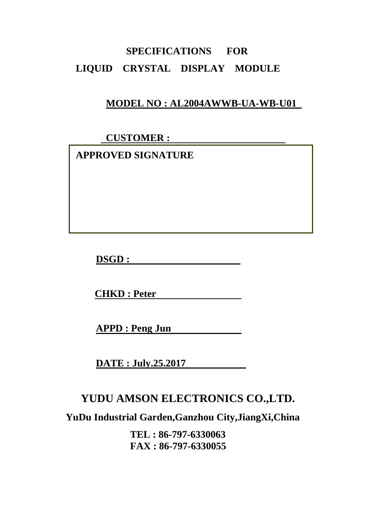# **SPECIFICATIONS FOR LIQUID CRYSTAL DISPLAY MODULE**

## **MODEL NO : AL2004AWWB-UA-WB-U01**

 **CUSTOMER :** 

 **APPROVED SIGNATURE** 

**DSGD :** 

**CHKD : Peter** 

**APPD : Peng Jun** 

**DATE : July.25.2017** 

# **YUDU AMSON ELECTRONICS CO.,LTD.**

**YuDu Industrial Garden,Ganzhou City,JiangXi,China** 

**TEL : 86-797-6330063 FAX : 86-797-6330055**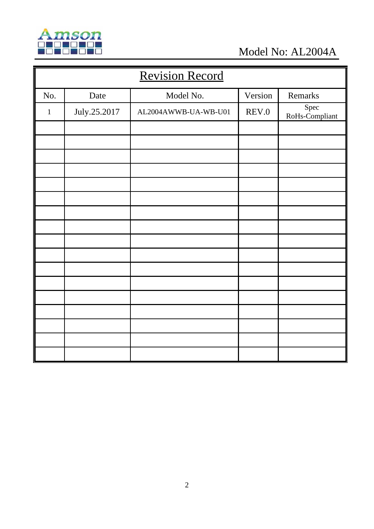

Model No: AL2004A

| <b>Revision Record</b> |              |                      |         |                        |  |  |
|------------------------|--------------|----------------------|---------|------------------------|--|--|
| No.                    | Date         | Model No.            | Version | Remarks                |  |  |
| $\mathbf{1}$           | July.25.2017 | AL2004AWWB-UA-WB-U01 | REV.0   | Spec<br>RoHs-Compliant |  |  |
|                        |              |                      |         |                        |  |  |
|                        |              |                      |         |                        |  |  |
|                        |              |                      |         |                        |  |  |
|                        |              |                      |         |                        |  |  |
|                        |              |                      |         |                        |  |  |
|                        |              |                      |         |                        |  |  |
|                        |              |                      |         |                        |  |  |
|                        |              |                      |         |                        |  |  |
|                        |              |                      |         |                        |  |  |
|                        |              |                      |         |                        |  |  |
|                        |              |                      |         |                        |  |  |
|                        |              |                      |         |                        |  |  |
|                        |              |                      |         |                        |  |  |
|                        |              |                      |         |                        |  |  |
|                        |              |                      |         |                        |  |  |
|                        |              |                      |         |                        |  |  |
|                        |              |                      |         |                        |  |  |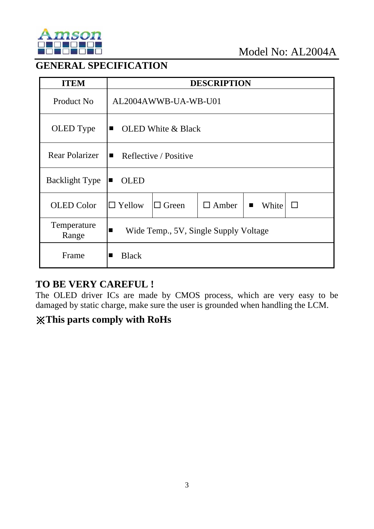

## **GENERAL SPECIFICATION**

| <b>ITEM</b>           | <b>DESCRIPTION</b>                                                                         |  |  |  |  |
|-----------------------|--------------------------------------------------------------------------------------------|--|--|--|--|
| Product No            | AL2004AWWB-UA-WB-U01                                                                       |  |  |  |  |
| OLED Type             | <b>OLED</b> White & Black<br>$\blacksquare$                                                |  |  |  |  |
| <b>Rear Polarizer</b> | Reflective / Positive<br>$\blacksquare$                                                    |  |  |  |  |
| <b>Backlight Type</b> | <b>OLED</b><br>п                                                                           |  |  |  |  |
| <b>OLED</b> Color     | $\Box$ Yellow<br>$\Box$ Green<br>$\Box$ Amber<br>White<br>$\mathbb{R}^n$<br>$\blacksquare$ |  |  |  |  |
| Temperature<br>Range  | Wide Temp., 5V, Single Supply Voltage<br>$\blacksquare$                                    |  |  |  |  |
| Frame                 | <b>Black</b>                                                                               |  |  |  |  |

## **TO BE VERY CAREFUL !**

The OLED driver ICs are made by CMOS process, which are very easy to be damaged by static charge, make sure the user is grounded when handling the LCM.

## ※**This parts comply with RoHs**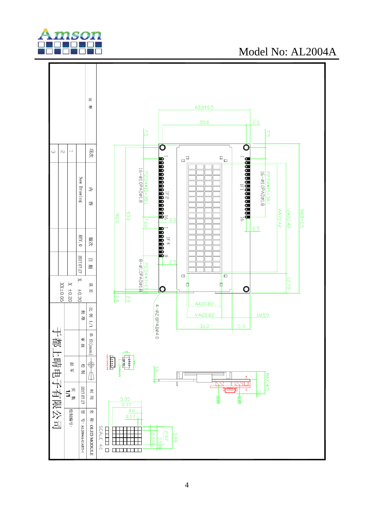

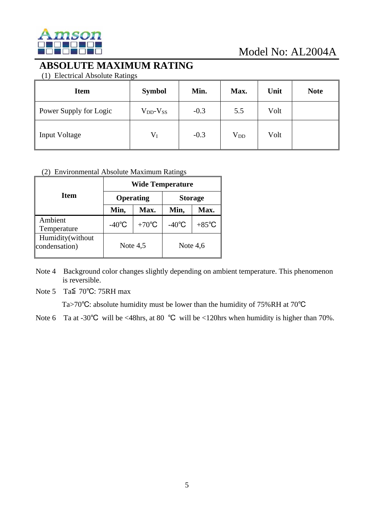

## **ABSOLUTE MAXIMUM RATING**

(1) Electrical Absolute Ratings

| <b>Item</b>            | <b>Symbol</b>       | Min.   | Max.         | Unit | <b>Note</b> |
|------------------------|---------------------|--------|--------------|------|-------------|
| Power Supply for Logic | $V_{DD}$ - $V_{SS}$ | $-0.3$ | 5.5          | Volt |             |
| <b>Input Voltage</b>   | $V_I$               | $-0.3$ | $\rm V_{DD}$ | Volt |             |

#### (2) Environmental Absolute Maximum Ratings

|                                   | <b>Wide Temperature</b> |                  |                 |                 |  |  |  |
|-----------------------------------|-------------------------|------------------|-----------------|-----------------|--|--|--|
| Item                              |                         | <b>Operating</b> | <b>Storage</b>  |                 |  |  |  |
|                                   | Min,                    | Max.             | Min,            | Max.            |  |  |  |
| Ambient<br>Temperature            | $-40^{\circ}$ C         | $+70^{\circ}$ C  | $-40^{\circ}$ C | $+85^{\circ}$ C |  |  |  |
| Humidity(without<br>condensation) | Note $4,5$              |                  | Note $4,6$      |                 |  |  |  |

Note 4 Background color changes slightly depending on ambient temperature. This phenomenon is reversible.

Note 5 Ta≦ 70℃: 75RH max

Ta>70℃: absolute humidity must be lower than the humidity of 75%RH at 70℃

Note 6 Ta at -30°C will be <48hrs, at 80 °C will be <120hrs when humidity is higher than 70%.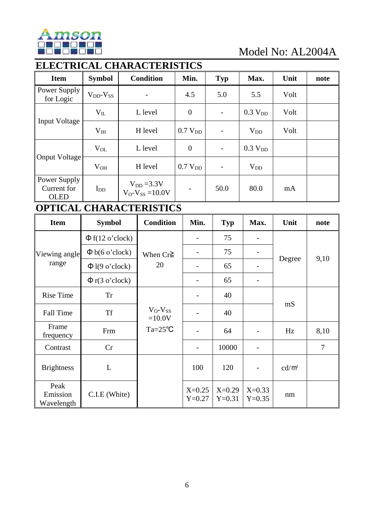

# **ELECTRICAL CHARACTERISTICS**

| <b>Item</b>                                | <b>Symbol</b>       | <b>Condition</b>                        | Min.                     | <b>Typ</b>        | Max.                | Unit | note |
|--------------------------------------------|---------------------|-----------------------------------------|--------------------------|-------------------|---------------------|------|------|
| Power Supply<br>for Logic                  | $V_{DD}$ - $V_{SS}$ | -                                       | 4.5                      | 5.0               | 5.5                 | Volt |      |
|                                            | $V_{IL}$            | L level                                 | $\theta$                 |                   | 0.3 V <sub>DD</sub> | Volt |      |
| <b>Input Voltage</b>                       | V <sub>IH</sub>     | H level                                 | 0.7 V <sub>DD</sub>      | $\qquad \qquad -$ | $V_{DD}$            | Volt |      |
|                                            | $V_{OL}$            | L level                                 | $\boldsymbol{0}$         | $\qquad \qquad -$ | 0.3 V <sub>DD</sub> |      |      |
| Onput Voltage                              | $V_{OH}$            | H level                                 | 0.7 V <sub>DD</sub>      | $\qquad \qquad -$ | $V_{DD}$            |      |      |
| Power Supply<br>Current for<br><b>OLED</b> | $I_{DD}$            | $V_{DD} = 3.3V$<br>$V_O-V_{SS} = 10.0V$ | $\overline{\phantom{0}}$ | 50.0              | 80.0                | mA   |      |

## **OPTICAL CHARACTERISTICS**

| <b>Item</b>                    | <b>Symbol</b>        | <b>Condition</b>         | Min.                 | Typ                  | Max.                 | Unit     | note   |
|--------------------------------|----------------------|--------------------------|----------------------|----------------------|----------------------|----------|--------|
|                                | $\Phi$ f(12 o'clock) |                          |                      | 75                   |                      |          |        |
| Viewing angle                  | $\Phi$ b(6 o'clock)  | When $Cr \geq$           |                      | 75                   |                      | Degree   |        |
| range                          | $\Phi$ l(9 o'clock)  | 20                       |                      | 65                   |                      |          | 9,10   |
|                                | $\Phi$ r(3 o'clock)  |                          |                      | 65                   |                      |          |        |
| <b>Rise Time</b>               | <b>Tr</b>            |                          |                      | 40                   |                      | mS       |        |
| <b>Fall Time</b>               | <b>Tf</b>            | $V_O-V_{SS}$<br>$=10.0V$ |                      | 40                   |                      |          |        |
| Frame<br>frequency             | Frm                  | $Ta = 25^{\circ}C$       |                      | 64                   |                      | Hz       | 8,10   |
| Contrast                       | Cr                   |                          |                      | 10000                |                      |          | $\tau$ |
| <b>Brightness</b>              | L                    |                          | 100                  | 120                  |                      | $cd/m^2$ |        |
| Peak<br>Emission<br>Wavelength | C.I.E (White)        |                          | $X=0.25$<br>$Y=0.27$ | $X=0.29$<br>$Y=0.31$ | $X=0.33$<br>$Y=0.35$ | nm       |        |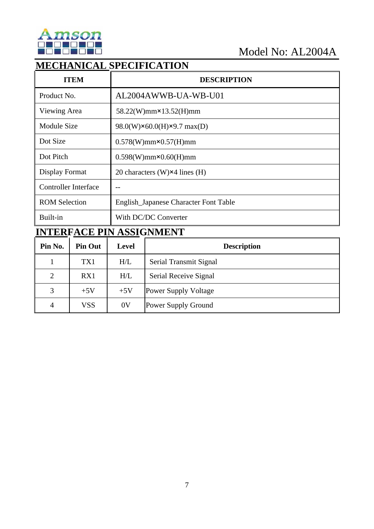

## **MECHANICAL SPECIFICATION**

| <b>ITEM</b>                 | <b>DESCRIPTION</b>                     |  |  |  |
|-----------------------------|----------------------------------------|--|--|--|
| Product No.                 | AL2004AWWB-UA-WB-U01                   |  |  |  |
| Viewing Area                | 58.22(W)mm×13.52(H)mm                  |  |  |  |
| <b>Module Size</b>          | 98.0(W)×60.0(H)×9.7 max(D)             |  |  |  |
| Dot Size                    | $0.578(W)$ mm $\times 0.57(H)$ mm      |  |  |  |
| Dot Pitch                   | $0.598(W)$ mm $\times 0.60(H)$ mm      |  |  |  |
| Display Format              | 20 characters (W) $\times$ 4 lines (H) |  |  |  |
| <b>Controller Interface</b> |                                        |  |  |  |
| <b>ROM Selection</b>        | English_Japanese Character Font Table  |  |  |  |
| Built-in                    | With DC/DC Converter                   |  |  |  |

# **INTERFACE PIN ASSIGNMENT**

| Pin No.        | <b>Pin Out</b> | Level          | <b>Description</b>          |
|----------------|----------------|----------------|-----------------------------|
|                | TX1            | H/L            | Serial Transmit Signal      |
| $\overline{2}$ | RX1            | H/L            | Serial Receive Signal       |
| 3              | $+5V$          | $+5V$          | <b>Power Supply Voltage</b> |
| 4              | <b>VSS</b>     | 0 <sup>V</sup> | Power Supply Ground         |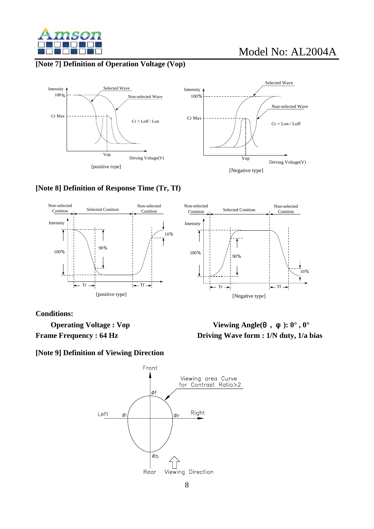

#### **[Note 7] Definition of Operation Voltage (Vop)**





#### **[Note 8] Definition of Response Time (Tr, Tf)**



**Conditions:** 

**[Note 9] Definition of Viewing Direction** 



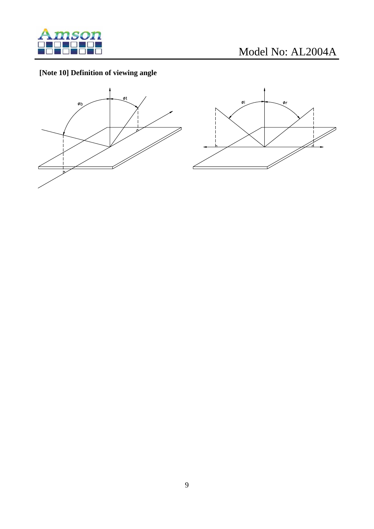

## **[Note 10] Definition of viewing angle**



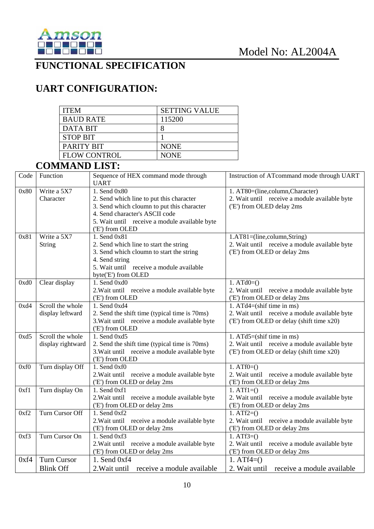

## **FUNCTIONAL SPECIFICATION**

# **UART CONFIGURATION:**

| <b>ITEM</b>         | <b>SETTING VALUE</b> |
|---------------------|----------------------|
| <b>BAUD RATE</b>    | 115200               |
| DATA BIT            |                      |
| <b>STOP BIT</b>     |                      |
| PARITY BIT          | <b>NONE</b>          |
| <b>FLOW CONTROL</b> | <b>NONE</b>          |

## **COMMAND LIST:**

| Code | Function           | Sequence of HEX command mode through<br><b>UART</b> | Instruction of ATcommand mode through UART    |
|------|--------------------|-----------------------------------------------------|-----------------------------------------------|
| 0x80 | Write a 5X7        | 1. Send $0x80$                                      | 1. AT80=(line,column,Character)               |
|      | Character          | 2. Send which line to put this character            | 2. Wait until receive a module available byte |
|      |                    | 3. Send which cloumn to put this character          | ('E') from OLED delay 2ms                     |
|      |                    | 4. Send character's ASCII code                      |                                               |
|      |                    | 5. Wait until receive a module available byte       |                                               |
|      |                    | ('E') from OLED                                     |                                               |
| 0x81 | Write a 5X7        | 1. Send 0x81                                        | 1.AT81=(line,column,String)                   |
|      | String             | 2. Send which line to start the string              | 2. Wait until receive a module available byte |
|      |                    | 3. Send which cloumn to start the string            | ('E') from OLED or delay 2ms                  |
|      |                    | 4. Send string                                      |                                               |
|      |                    | 5. Wait until receive a module available            |                                               |
|      |                    | byte('E') from OLED                                 |                                               |
| 0xd0 | Clear display      | 1. Send 0xd0                                        | 1. $ATd0=()$                                  |
|      |                    | 2. Wait until receive a module available byte       | 2. Wait until receive a module available byte |
|      |                    | ('E') from OLED                                     | ('E') from OLED or delay 2ms                  |
| 0xd4 | Scroll the whole   | 1. Send 0xd4                                        | 1. $ATd4 = (shift time in ms)$                |
|      | display leftward   | 2. Send the shift time (typical time is 70ms)       | 2. Wait until receive a module available byte |
|      |                    | 3. Wait until receive a module available byte       | ('E') from OLED or delay (shift time x20)     |
|      |                    | ('E') from OLED                                     |                                               |
| 0xd5 | Scroll the whole   | 1. Send 0xd5                                        | 1. $ATd5 = (shift time in ms)$                |
|      | display rightward  | 2. Send the shift time (typical time is 70ms)       | 2. Wait until receive a module available byte |
|      |                    | 3. Wait until receive a module available byte       | ('E') from OLED or delay (shift time x20)     |
|      |                    | ('E') from OLED                                     |                                               |
| 0xf0 | Turn display Off   | 1. Send 0xf0                                        | $1. ATf0=()$                                  |
|      |                    | 2. Wait until receive a module available byte       | 2. Wait until receive a module available byte |
|      |                    | ('E') from OLED or delay 2ms                        | ('E') from OLED or delay 2ms                  |
| 0xf1 | Turn display On    | 1. Send 0xf1                                        | $1. ATf1=()$                                  |
|      |                    | 2. Wait until receive a module available byte       | 2. Wait until receive a module available byte |
|      |                    | ('E') from OLED or delay 2ms                        | ('E') from OLED or delay 2ms                  |
| 0xf2 | Turn Cursor Off    | $1.$ Send 0xf2                                      | 1. $ATf2=()$                                  |
|      |                    | 2. Wait until receive a module available byte       | 2. Wait until receive a module available byte |
|      |                    | ('E') from OLED or delay 2ms                        | ('E') from OLED or delay 2ms                  |
| 0xf3 | Turn Cursor On     | 1. Send 0xf3                                        | 1. $ATf3=()$                                  |
|      |                    | 2. Wait until receive a module available byte       | 2. Wait until receive a module available byte |
|      |                    | ('E') from OLED or delay 2ms                        | ('E') from OLED or delay 2ms                  |
| 0xf4 | <b>Turn Cursor</b> | 1. Send 0xf4                                        | 1. $ATf4=()$                                  |
|      | <b>Blink Off</b>   | 2. Wait until receive a module available            | 2. Wait until receive a module available      |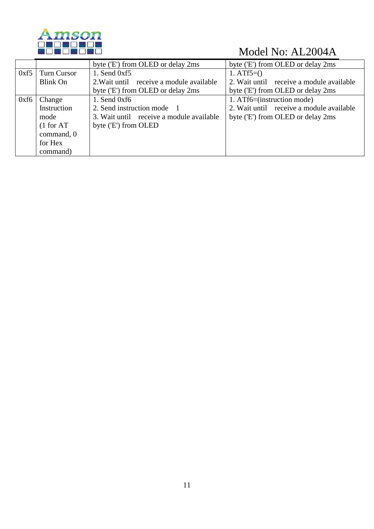

|      |                    | byte ('E') from OLED or delay 2ms        | byte ('E') from OLED or delay 2ms        |
|------|--------------------|------------------------------------------|------------------------------------------|
| 0xf5 | <b>Turn Cursor</b> | 1. Send $0xf5$                           | 1. $ATf5=()$                             |
|      | Blink On           | 2. Wait until receive a module available | 2. Wait until receive a module available |
|      |                    | byte ('E') from OLED or delay 2ms        | byte ('E') from OLED or delay 2ms        |
| 0xf6 | Change             | 1. Send $0xf6$                           | 1. ATf6=(instruction mode)               |
|      | Instruction        | 2. Send instruction mode 1               | 2. Wait until receive a module available |
|      | mode               | 3. Wait until receive a module available | byte ('E') from OLED or delay 2ms        |
|      | (1 for AT)         | byte ('E') from OLED                     |                                          |
|      | command, 0         |                                          |                                          |
|      | for Hex            |                                          |                                          |
|      | command)           |                                          |                                          |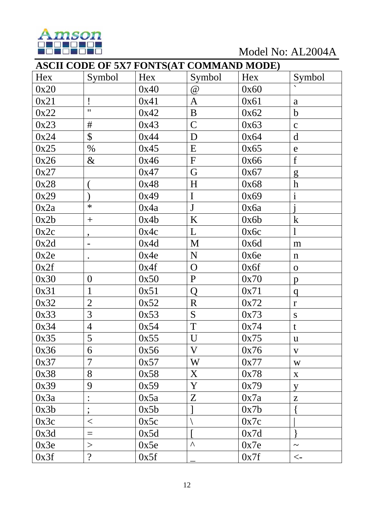

Model No: AL2004A

|      | <b>ASCII CODE OF 5X7 FONTS(AT COMMAND MODE)</b> |      |              |      |                       |  |  |  |
|------|-------------------------------------------------|------|--------------|------|-----------------------|--|--|--|
| Hex  | Symbol                                          | Hex  | Symbol       | Hex  | Symbol                |  |  |  |
| 0x20 |                                                 | 0x40 | $\omega$     | 0x60 |                       |  |  |  |
| 0x21 | Ţ                                               | 0x41 | A            | 0x61 | a                     |  |  |  |
| 0x22 | $\mathbf{H}$                                    | 0x42 | $\bf{B}$     | 0x62 | $\mathbf b$           |  |  |  |
| 0x23 | #                                               | 0x43 | $\mathsf{C}$ | 0x63 | $\mathbf C$           |  |  |  |
| 0x24 | $\mathcal{S}$                                   | 0x44 | D            | 0x64 | $\mathbf d$           |  |  |  |
| 0x25 | $\%$                                            | 0x45 | E            | 0x65 | $\mathbf e$           |  |  |  |
| 0x26 | $\&$                                            | 0x46 | ${\bf F}$    | 0x66 | f                     |  |  |  |
| 0x27 |                                                 | 0x47 | G            | 0x67 | g                     |  |  |  |
| 0x28 |                                                 | 0x48 | H            | 0x68 | $\boldsymbol{h}$      |  |  |  |
| 0x29 |                                                 | 0x49 | $\mathbf I$  | 0x69 | $\mathbf{i}$          |  |  |  |
| 0x2a | $\ast$                                          | 0x4a | $\mathbf{J}$ | 0x6a |                       |  |  |  |
| 0x2b | $^{+}$                                          | 0x4b | K            | 0x6b | $\bf k$               |  |  |  |
| 0x2c | ,                                               | 0x4c | L            | 0x6c |                       |  |  |  |
| 0x2d |                                                 | 0x4d | M            | 0x6d | m                     |  |  |  |
| 0x2e | $\bullet$                                       | 0x4e | N            | 0x6e | $\mathbf n$           |  |  |  |
| 0x2f |                                                 | 0x4f | $\mathbf{O}$ | 0x6f | $\mathbf{O}$          |  |  |  |
| 0x30 | $\overline{0}$                                  | 0x50 | $\mathbf{P}$ | 0x70 | $\mathbf{p}$          |  |  |  |
| 0x31 | $\mathbf{1}$                                    | 0x51 | Q            | 0x71 | q                     |  |  |  |
| 0x32 | $\overline{2}$                                  | 0x52 | $\mathbf R$  | 0x72 | $\mathbf{r}$          |  |  |  |
| 0x33 | $\overline{3}$                                  | 0x53 | S            | 0x73 | ${\bf S}$             |  |  |  |
| 0x34 | $\overline{4}$                                  | 0x54 | T            | 0x74 | t                     |  |  |  |
| 0x35 | 5                                               | 0x55 | U            | 0x75 | $\mathbf u$           |  |  |  |
| 0x36 | 6                                               | 0x56 | $\mathbf V$  | 0x76 | $\mathbf{V}$          |  |  |  |
| 0x37 | $\overline{7}$                                  | 0x57 | W            | 0x77 | W                     |  |  |  |
| 0x38 | 8                                               | 0x58 | X            | 0x78 | $\mathbf{X}$          |  |  |  |
| 0x39 | 9                                               | 0x59 | Y            | 0x79 | y                     |  |  |  |
| 0x3a |                                                 | 0x5a | $Z_{\rm}$    | 0x7a | Z                     |  |  |  |
| 0x3b | $\overline{\phantom{a}}$                        | 0x5b |              | 0x7b |                       |  |  |  |
| 0x3c | $\lt$                                           | 0x5c |              | 0x7c |                       |  |  |  |
| 0x3d | $\equiv$                                        | 0x5d |              | 0x7d |                       |  |  |  |
| 0x3e | >                                               | 0x5e | Λ            | 0x7e | $\tilde{\phantom{a}}$ |  |  |  |
| 0x3f | $\overline{?}$                                  | 0x5f |              | 0x7f | $\leftarrow$          |  |  |  |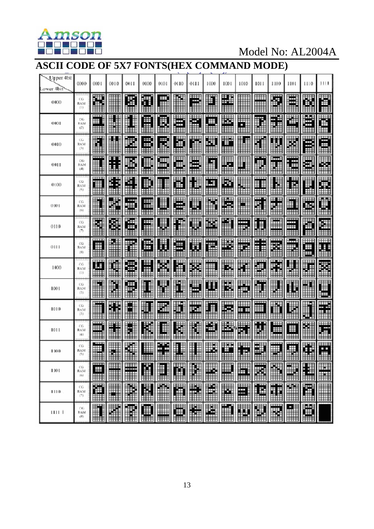

# **ASCII CODE OF 5X7 FONTS(HEX COMMAND MODE)**

| Upper 4bit<br>ower 4bit | 0000                       | 0001              | 0010                 | 0011        | 0100        | 0101             | 0110   | 0111     | 1000    | 1001           | 1010                | 10I I           | 1100        | 1101                 | 1110        | 1111   |
|-------------------------|----------------------------|-------------------|----------------------|-------------|-------------|------------------|--------|----------|---------|----------------|---------------------|-----------------|-------------|----------------------|-------------|--------|
| 0000                    | СG<br><b>BAM</b><br>(1)    | Ŧ<br>œ            |                      | Œ           | Ŧ           | Ħ<br>⊞           |        | ▦<br>Ī   | Ŧ       | ш              | ∎                   | ▦<br>Ш          | Ä           | Ë                    | M           | É      |
| 0001                    | CG.<br><b>RAM</b><br>(2)   | Ē<br>Ħ            |                      | ┋<br>I      | Œ<br>ш      | B                | ⊞<br>曲 | Ħ        | ┅<br>Ħ  | E.<br>▦        | ₽                   | ŧ               | N           | 灩<br>Ш               | Ë           | Ë<br>₩ |
| 0010                    | $C_{\alpha}$<br>RAM<br>(3) | ř                 |                      | B<br>₩      | ŧ<br>ŧ<br>冊 | F                | ä<br>ᄪ | E        | Æ       | ₩              | ŧ                   | Ï               | H           | ×                    | Ē           | ₩<br>⊞ |
| 0011                    | EG1<br>8654<br>(4)         |                   | I<br>Ė<br>H          | X           | W           | ₩                | Е      | ₩        | ₩.      | S              | Ŧ                   | π<br>H.         | - -<br>M    | -----<br>ŧ<br>l<br>Ŧ | ă           | E      |
| 0100                    | CG<br>RAM<br>(5)           | ╥╥                | Ë<br>E               | Ħ,          | ₿<br>▦      | ┋                | Ë      | ▋        | ┅<br>H  | ě              | L                   | <b>THT</b><br>I | H           | Ħ<br>Ë<br>₩          | L           | E.     |
| 0101                    | СG<br>RAM<br>[4]           | l                 | ä                    | Ħ<br>∓<br>冊 | ₩<br>ĦĦ     | ▦<br>m           | ⊞<br>m | U<br>٣H  | Ŧ<br>╥╥ | Ħ<br>Ш         | l<br>Ш              | ш<br>H<br>Ē     | œ<br>Ŧ<br>H | n<br>ĦĦ              | ₩<br>鹽      | Ä      |
| 0110                    | œ<br>RAM<br>(7)            | H                 | Ø,                   | €           | E           | ₩                | ▌      | ł        | E,      | Ě              | Ħ                   | F<br>噩          | Ħ<br>₩      | ₩<br>m               | ě           | i      |
| 0111                    | œ<br>RAM<br>$(\mathbb{E})$ | ▦                 |                      | ï           | Œ<br>⊞      | 鼉                | 厓      | ü        | Ŧ.      | В              | ₩<br>П              | ŧ<br>目          | ш<br>Ã      | m.<br>R              | Ш<br>Ē      | Ä      |
| 1000                    | CG.<br>RAM<br>(1)          | Ħ                 | H                    | Ŧ<br>⊞      | Ì           | H                | ٣      | ×        | .<br>₩  | 륣              | ı<br>1              | Ë<br>Ĩ.         | X           | U                    | T           | Ø.     |
| 1001                    | œ<br>RAM<br>(2)            | <b>THE PERSON</b> | H                    | ₩           | ł           | H                | E      | ļ.       | Ë       | U.             | H                   | ⊞<br>┋          | ┋<br>J      | Ī<br>$\mathbf{r}$    | H           | Ē      |
| 1010                    | œ<br>RAM<br>(3.)           | ⊞                 | I<br>E               |             | H           | Ħ                | ┉<br>由 | गा।<br>H | E<br>₿  | ⊞⊞<br>k.       | ⊞<br><b>HH</b><br>₩ | ĦĦ<br>₩<br>Ħ    | H<br>Ħ      | L                    | į<br>U      | ī      |
| 1011                    | CG.<br>RAM<br>(4)          | Ħ                 | ▌<br>₿               |             | B           | E<br>▆           | Ø      | I        | Ħ       | ∎              | Ħ<br>Ē              | Ħ               | Ë<br>⊞      | Ŧ<br>⊞               | Î           | Ħ      |
| 1100                    | СG<br>RAM<br>(5)           | ₩<br>▦            | 用                    | 毒<br>▦      | ▦           | ٠<br>H<br>Е<br>▦ | im     | ▦        | ₩<br>▦  | r<br>▦         | Ш<br>B<br>ł<br>m    | 輣<br>▥          | ₩<br>▦      | ₩<br>▦               | ŧ<br>Ė<br>▦ | Ш<br>i |
| 1101                    | CG<br>RAM<br>(8.1)         | mm<br>₩<br>▦      | Ī                    | Ħ           | ľ           | H                | M      | ľ        | e       | $\blacksquare$ | E                   | Ħ<br>H          | ľ           | R                    | H           | H      |
| 1110                    | CG.<br>RAM<br>D)           | 酒<br>▦            | <u>ri</u>            | ľ           | N           | $\hat{ }$        | r      | É        | Ě       | ×              | E                   | E               | I           | $\blacksquare$       | Ē           | E      |
| 111 L                   | CG.<br><b>BAM</b><br>(8)   | H                 | $\ddot{\phantom{a}}$ | R           |             | $\blacksquare$   | ē      | f        | H       | n              | H                   | H               | ¥           | H                    | ē           |        |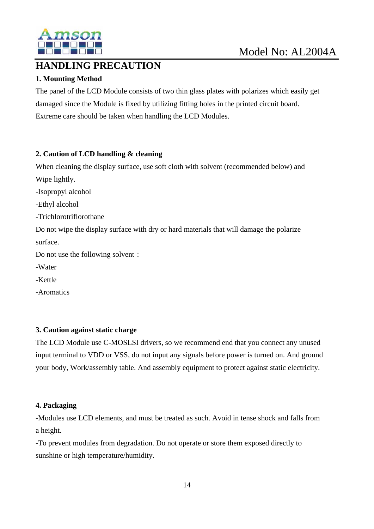

## **HANDLING PRECAUTION**

### **1. Mounting Method**

The panel of the LCD Module consists of two thin glass plates with polarizes which easily get damaged since the Module is fixed by utilizing fitting holes in the printed circuit board. Extreme care should be taken when handling the LCD Modules.

#### **2. Caution of LCD handling & cleaning**

When cleaning the display surface, use soft cloth with solvent (recommended below) and Wipe lightly.

-Isopropyl alcohol

-Ethyl alcohol

-Trichlorotriflorothane

Do not wipe the display surface with dry or hard materials that will damage the polarize surface.

Do not use the following solvent:

-Water

-Kettle

-Aromatics

#### **3. Caution against static charge**

The LCD Module use C-MOSLSI drivers, so we recommend end that you connect any unused input terminal to VDD or VSS, do not input any signals before power is turned on. And ground your body, Work/assembly table. And assembly equipment to protect against static electricity.

#### **4. Packaging**

-Modules use LCD elements, and must be treated as such. Avoid in tense shock and falls from a height.

-To prevent modules from degradation. Do not operate or store them exposed directly to sunshine or high temperature/humidity.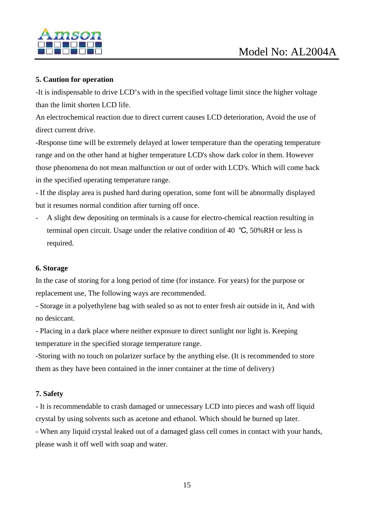

#### **5. Caution for operation**

-It is indispensable to drive LCD's with in the specified voltage limit since the higher voltage than the limit shorten LCD life.

An electrochemical reaction due to direct current causes LCD deterioration, Avoid the use of direct current drive.

-Response time will be extremely delayed at lower temperature than the operating temperature range and on the other hand at higher temperature LCD's show dark color in them. However those phenomena do not mean malfunction or out of order with LCD's. Which will come back in the specified operating temperature range.

- If the display area is pushed hard during operation, some font will be abnormally displayed but it resumes normal condition after turning off once.

- A slight dew depositing on terminals is a cause for electro-chemical reaction resulting in terminal open circuit. Usage under the relative condition of 40 ℃, 50%RH or less is required.

#### **6. Storage**

In the case of storing for a long period of time (for instance. For years) for the purpose or replacement use, The following ways are recommended.

- Storage in a polyethylene bag with sealed so as not to enter fresh air outside in it, And with no desiccant.

- Placing in a dark place where neither exposure to direct sunlight nor light is. Keeping temperature in the specified storage temperature range.

-Storing with no touch on polarizer surface by the anything else. (It is recommended to store them as they have been contained in the inner container at the time of delivery)

#### **7. Safety**

- It is recommendable to crash damaged or unnecessary LCD into pieces and wash off liquid crystal by using solvents such as acetone and ethanol. Which should be burned up later.

- When any liquid crystal leaked out of a damaged glass cell comes in contact with your hands, please wash it off well with soap and water.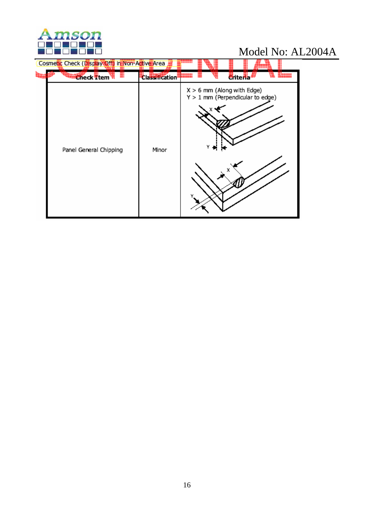

| Cosmetic Check (Display Off) in Non-Active Area |                       |                                                                    |                  |  |
|-------------------------------------------------|-----------------------|--------------------------------------------------------------------|------------------|--|
| <b>Check Ttem</b>                               | <b>Classification</b> | .                                                                  | <b>C</b> riteria |  |
| Panel General Chipping                          | Minor                 | $X > 6$ mm (Along with Edge)<br>$Y > 1$ mm (Perpendicular to edge) | х                |  |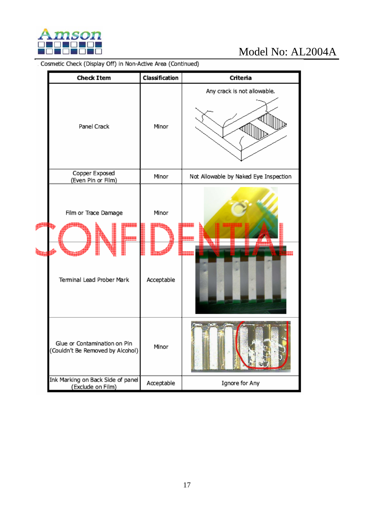

# Model No: AL2004A<br>Cosmetic Check (Display Off) in Non-Active Area (Continued)

|  | <b>Check Item</b>                                                | Classification      | Criteria                              |
|--|------------------------------------------------------------------|---------------------|---------------------------------------|
|  | Panel Crack                                                      | Minor               | Any crack is not allowable.           |
|  | Copper Exposed<br>(Even Pin or Film)                             | Minor               | Not Allowable by Naked Eye Inspection |
|  | Film or Trace Damage<br>Terminal Lead Prober Mark                | Minor<br>Acceptable |                                       |
|  | Glue or Contamination on Pin<br>(Couldn't Be Removed by Alcohol) | Minor               |                                       |
|  | Ink Marking on Back Side of panel<br>(Exclude on Film)           | Acceptable          | Ignore for Any                        |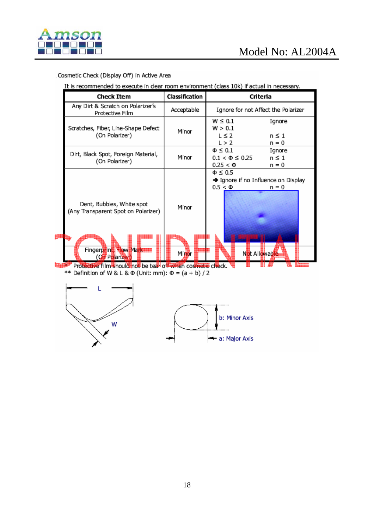

#### Cosmetic Check (Display Off) in Active Area

It is recommended to execute in clear room environment (class 10k) if actual in necessary.

| <b>Check Item</b>                                                                                           | Classification | Criteria                                                                                    |  |  |  |  |
|-------------------------------------------------------------------------------------------------------------|----------------|---------------------------------------------------------------------------------------------|--|--|--|--|
| Any Dirt & Scratch on Polarizer's<br>Protective Film                                                        | Acceptable     | Ignore for not Affect the Polarizer                                                         |  |  |  |  |
| Scratches, Fiber, Line-Shape Defect<br>(On Polarizer)                                                       | Minor          | $W \leq 0.1$<br>Ignore<br>W > 0.1<br>$\leq$ 2<br>$n \leq 1$<br>L > 2<br>n = 0               |  |  |  |  |
| Dirt, Black Spot, Foreign Material,<br>(On Polarizer)                                                       | Minor          | $\Phi \leq 0.1$<br>Ignore<br>$0.1 < \Phi \leq 0.25$<br>$n \leq 1$<br>$0.25 < \Phi$<br>n = 0 |  |  |  |  |
| Dent, Bubbles, White spot<br>(Any Transparent Spot on Polarizer)                                            | Minor          | $\Phi \leq 0.5$<br>→ Ignore if no Influence on Display<br>$0.5 < \Phi$<br>n = 0             |  |  |  |  |
| Fingerprint, How Markette<br>(Oil Polarizer)<br>Protective film should not be tear off when cosmetic check. | Minor          | Not Allowable                                                                               |  |  |  |  |

\*\* Definition of W & L &  $\Phi$  (Unit: mm):  $\Phi = (a + b)/2$